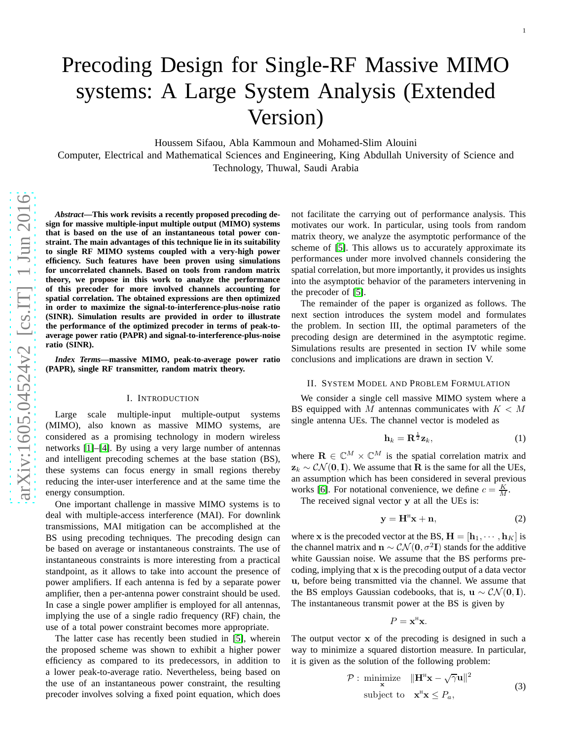# Precoding Design for Single-RF Massive MIMO systems: A Large System Analysis (Extended Version)

Houssem Sifaou, Abla Kammoun and Mohamed-Slim Alouini

Computer, Electrical and Mathematical Sciences and Engineering, King Abdullah University of Science and Technology, Thuwal, Saudi Arabia

*Abstract***—This work revisits a recently proposed precoding design for massive multiple-input multiple output (MIMO) systems that is based on the use of an instantaneous total power constraint. The main advantages of this technique lie in its suitability to single RF MIMO systems coupled with a very-high power efficiency. Such features have been proven using simulation s for uncorrelated channels. Based on tools from random matri x theory, we propose in this work to analyze the performance of this precoder for more involved channels accounting for spatial correlation. The obtained expressions are then optimized in order to maximize the signal-to-interference-plus-noise ratio (SINR). Simulation results are provided in order to illustrate the performance of the optimized precoder in terms of peak-toaverage power ratio (PAPR) and signal-to-interference-plus-noise ratio (SINR).**

*Index Terms***—massive MIMO, peak-to-average power ratio (PAPR), single RF transmitter, random matrix theory.**

#### I. INTRODUCTION

Large scale multiple-input multiple-output systems (MIMO), also known as massive MIMO systems, are considered as a promising technology in modern wireless networks [\[1\]](#page-4-0)–[\[4\]](#page-4-1). By using a very large number of antennas and intelligent precoding schemes at the base station (BS), these systems can focus energy in small regions thereby reducing the inter-user interference and at the same time th e energy consumption.

One important challenge in massive MIMO systems is to deal with multiple-access interference (MAI). For downlin k transmissions, MAI mitigation can be accomplished at the BS using precoding techniques. The precoding design can be based on average or instantaneous constraints. The use of instantaneous constraints is more interesting from a practical standpoint, as it allows to take into account the presence of power amplifiers. If each antenna is fed by a separate power amplifier, then a per-antenna power constraint should be used. In case a single power amplifier is employed for all antennas, implying the use of a single radio frequency (RF) chain, the use of a total power constraint becomes more appropriate.

The latter case has recently been studied in [\[5\]](#page-4-2), wherein the proposed scheme was shown to exhibit a higher power efficiency as compared to its predecessors, in addition to a lower peak-to-average ratio. Nevertheless, being based o n the use of an instantaneous power constraint, the resulting precoder involves solving a fixed point equation, which does not facilitate the carrying out of performance analysis. This motivates our work. In particular, using tools from random matrix theory, we analyze the asymptotic performance of the scheme of [\[5\]](#page-4-2). This allows us to accurately approximate its performances under more involved channels considering the spatial correlation, but more importantly, it provides us insights into the asymptotic behavior of the parameters intervening in the precoder of [\[5\]](#page-4-2).

The remainder of the paper is organized as follows. The next section introduces the system model and formulates the problem. In section III, the optimal parameters of the precoding design are determined in the asymptotic regime. Simulations results are presented in section IV while some conclusions and implications are drawn in section V.

### II. SYSTEM MODEL AND PROBLEM FORMULATION

We consider a single cell massive MIMO system where a BS equipped with M antennas communicates with  $K < M$ single antenna UEs. The channel vector is modeled as

$$
\mathbf{h}_k = \mathbf{R}^{\frac{1}{2}} \mathbf{z}_k,\tag{1}
$$

where  $\mathbf{R} \in \mathbb{C}^{M} \times \mathbb{C}^{M}$  is the spatial correlation matrix and  $z_k \sim \mathcal{CN}(\mathbf{0}, \mathbf{I})$ . We assume that **R** is the same for all the UEs, an assumption which has been considered in several previous works [\[6\]](#page-5-0). For notational convenience, we define  $c = \frac{K}{M}$ .

The received signal vector y at all the UEs is:

$$
y = H^{H}x + n,
$$
 (2)

where **x** is the precoded vector at the BS,  $\mathbf{H} = [\mathbf{h}_1, \cdots, \mathbf{h}_K]$  is the channel matrix and  $\mathbf{n} \sim \mathcal{CN}(\mathbf{0}, \sigma^2 \mathbf{I})$  stands for the additive white Gaussian noise. We assume that the BS performs precoding, implying that x is the precoding output of a data vector u, before being transmitted via the channel. We assume that the BS employs Gaussian codebooks, that is,  $\mathbf{u} \sim \mathcal{CN}(\mathbf{0}, \mathbf{I}).$ The instantaneous transmit power at the BS is given by

$$
P=\mathbf{x}^{\mathrm{H}}\mathbf{x}.
$$

The output vector x of the precoding is designed in such a way to minimize a squared distortion measure. In particular , it is given as the solution of the following problem:

<span id="page-0-0"></span>
$$
\mathcal{P}: \underset{\mathbf{x}}{\text{minimize}} \quad \|\mathbf{H}^{\text{H}}\mathbf{x} - \sqrt{\gamma}\mathbf{u}\|^2
$$
  
subject to  $\mathbf{x}^{\text{H}}\mathbf{x} \leq P_a$ , (3)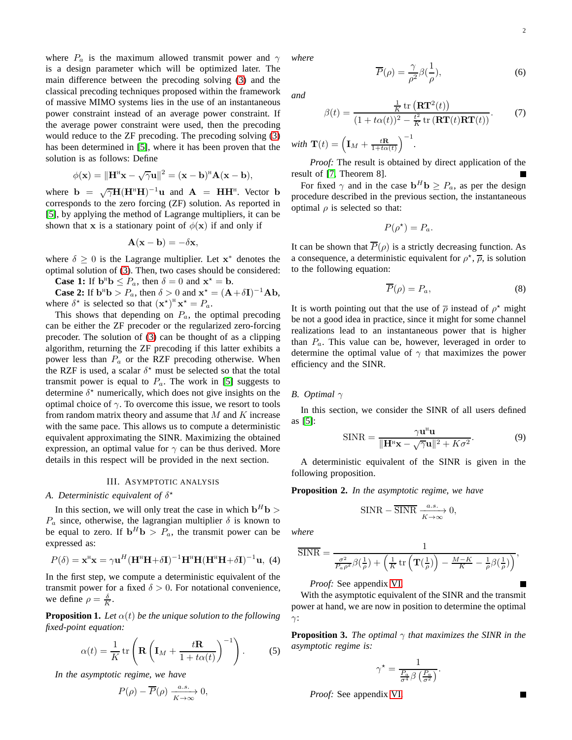where  $P_a$  is the maximum allowed transmit power and  $\gamma$ is a design parameter which will be optimized later. The main difference between the precoding solving [\(3\)](#page-0-0) and the classical precoding techniques proposed within the framework of massive MIMO systems lies in the use of an instantaneous power constraint instead of an average power constraint. If the average power constraint were used, then the precoding would reduce to the ZF precoding. The precoding solving [\(3\)](#page-0-0) has been determined in [\[5\]](#page-4-2), where it has been proven that the solution is as follows: Define

$$
\phi(\mathbf{x})=\|\mathbf{H}^{\scriptscriptstyle\mathsf{H}}\mathbf{x}-\sqrt{\gamma}\mathbf{u}\|^2=(\mathbf{x}-\mathbf{b})^{\scriptscriptstyle\mathsf{H}}\mathbf{A}(\mathbf{x}-\mathbf{b}),
$$

where  $\mathbf{b} = \sqrt{\gamma} \mathbf{H} (\mathbf{H}^{\text{H}} \mathbf{H})^{-1} \mathbf{u}$  and  $\mathbf{A} = \mathbf{H} \mathbf{H}^{\text{H}}$ . Vector  $\mathbf{b}$ corresponds to the zero forcing (ZF) solution. As reported in [\[5\]](#page-4-2), by applying the method of Lagrange multipliers, it can be shown that x is a stationary point of  $\phi(\mathbf{x})$  if and only if

$$
\mathbf{A}(\mathbf{x} - \mathbf{b}) = -\delta \mathbf{x},
$$

where  $\delta \geq 0$  is the Lagrange multiplier. Let  $\mathbf{x}^*$  denotes the optimal solution of [\(3\)](#page-0-0). Then, two cases should be considered:

**Case 1:** If  $\mathbf{b}^{\text{H}}\mathbf{b} \leq P_a$ , then  $\delta = 0$  and  $\mathbf{x}^* = \mathbf{b}$ .

**Case 2:** If  $\mathbf{b}^{\text{H}}\mathbf{b} > P_a$ , then  $\delta > 0$  and  $\mathbf{x}^* = (\mathbf{A} + \delta \mathbf{I})^{-1} \mathbf{A} \mathbf{b}$ , where  $\delta^*$  is selected so that  $(\mathbf{x}^*)^H \mathbf{x}^* = P_a$ .

This shows that depending on  $P_a$ , the optimal precoding can be either the ZF precoder or the regularized zero-forcing precoder. The solution of [\(3\)](#page-0-0) can be thought of as a clipping algorithm, returning the ZF precoding if this latter exhibits a power less than  $P_a$  or the RZF precoding otherwise. When the RZF is used, a scalar  $\delta^*$  must be selected so that the total transmit power is equal to  $P_a$ . The work in [\[5\]](#page-4-2) suggests to determine  $\delta^*$  numerically, which does not give insights on the optimal choice of  $\gamma$ . To overcome this issue, we resort to tools from random matrix theory and assume that  $M$  and  $K$  increase with the same pace. This allows us to compute a deterministic equivalent approximating the SINR. Maximizing the obtained expression, an optimal value for  $\gamma$  can be thus derived. More details in this respect will be provided in the next section.

#### III. ASYMPTOTIC ANALYSIS

## A. Deterministic equivalent of  $\delta^*$

In this section, we will only treat the case in which  $\mathbf{b}^H \mathbf{b} >$  $P_a$  since, otherwise, the lagrangian multiplier  $\delta$  is known to be equal to zero. If  $\mathbf{b}^H \mathbf{b} > P_a$ , the transmit power can be expressed as:

$$
P(\delta) = \mathbf{x}^{\mathrm{H}} \mathbf{x} = \gamma \mathbf{u}^{H} (\mathbf{H}^{\mathrm{H}} \mathbf{H} + \delta \mathbf{I})^{-1} \mathbf{H}^{\mathrm{H}} \mathbf{H} (\mathbf{H}^{\mathrm{H}} \mathbf{H} + \delta \mathbf{I})^{-1} \mathbf{u}, \tag{4}
$$

In the first step, we compute a deterministic equivalent of the transmit power for a fixed  $\delta > 0$ . For notational convenience, we define  $\rho = \frac{\delta}{K}$ .

**Proposition 1.** Let  $\alpha(t)$  be the unique solution to the following *fixed-point equation:*

$$
\alpha(t) = \frac{1}{K} \operatorname{tr} \left( \mathbf{R} \left( \mathbf{I}_M + \frac{t\mathbf{R}}{1 + t\alpha(t)} \right)^{-1} \right). \tag{5}
$$

*In the asymptotic regime, we have*

$$
P(\rho) - \overline{P}(\rho) \xrightarrow[K \to \infty]{a.s.} 0,
$$

*where*

$$
\overline{P}(\rho) = \frac{\gamma}{\rho^2} \beta(\frac{1}{\rho}),\tag{6}
$$

*and*

$$
\beta(t) = \frac{\frac{1}{K} \operatorname{tr} (\mathbf{RT}^2(t))}{(1 + t\alpha(t))^2 - \frac{t^2}{K} \operatorname{tr} (\mathbf{RT}(t)\mathbf{RT}(t))}.
$$
 (7)

*with*  $\mathbf{T}(t) = \left(\mathbf{I}_M + \frac{t\mathbf{R}}{1+t\alpha(t)}\right)^{-1}$ .

*Proof:* The result is obtained by direct application of the result of [\[7,](#page-5-1) Theorem 8].

For fixed  $\gamma$  and in the case  $\mathbf{b}^H \mathbf{b} \ge P_a$ , as per the design procedure described in the previous section, the instantaneous optimal  $\rho$  is selected so that:

$$
P(\rho^*) = P_a.
$$

It can be shown that  $\overline{P}(\rho)$  is a strictly decreasing function. As a consequence, a deterministic equivalent for  $\rho^*$ ,  $\overline{\rho}$ , is solution to the following equation:

$$
\overline{P}(\rho) = P_a,\tag{8}
$$

It is worth pointing out that the use of  $\overline{\rho}$  instead of  $\rho^*$  might be not a good idea in practice, since it might for some channel realizations lead to an instantaneous power that is higher than  $P_a$ . This value can be, however, leveraged in order to determine the optimal value of  $\gamma$  that maximizes the power efficiency and the SINR.

## *B. Optimal* γ

In this section, we consider the SINR of all users defined as [\[5\]](#page-4-2):

$$
\text{SINR} = \frac{\gamma \mathbf{u}^{\text{H}} \mathbf{u}}{\|\mathbf{H}^{\text{H}} \mathbf{x} - \sqrt{\gamma} \mathbf{u}\|^2 + K\sigma^2}.
$$
 (9)

A deterministic equivalent of the SINR is given in the following proposition.

**Proposition 2.** *In the asymptotic regime, we have*

$$
SINR - \overline{SINR} \xrightarrow[K \to \infty]{a.s.} 0,
$$

*where*

$$
\overline{\text{SINR}} = \frac{1}{\frac{\sigma^2}{P_a \rho^2} \beta(\frac{1}{\rho}) + \left(\frac{1}{K} \operatorname{tr} \left(\mathbf{T}(\frac{1}{\rho})\right) - \frac{M - K}{K} - \frac{1}{\rho} \beta(\frac{1}{\rho})\right)},
$$

*Proof:* See appendix [VI.](#page-3-0)

With the asymptotic equivalent of the SINR and the transmit power at hand, we are now in position to determine the optimal  $γ$ :

**Proposition 3.** *The optimal*  $\gamma$  *that maximizes the SINR in the asymptotic regime is:*

$$
\gamma^* = \frac{1}{\frac{P_a}{\sigma^4} \beta \left(\frac{P_a}{\sigma^2}\right)}.
$$

*Proof:* See appendix [VI.](#page-4-3)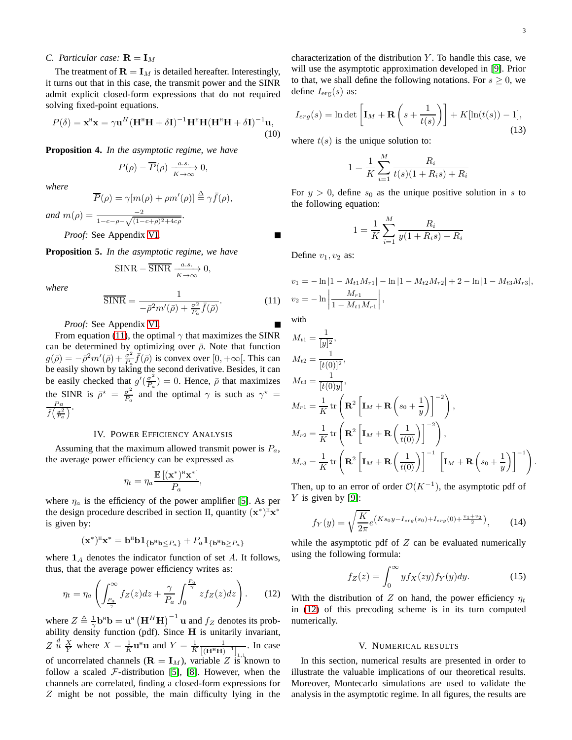### *C. Particular case:*  $\mathbf{R} = \mathbf{I}_M$

The treatment of  $\mathbf{R} = \mathbf{I}_M$  is detailed hereafter. Interestingly, it turns out that in this case, the transmit power and the SINR admit explicit closed-form expressions that do not required solving fixed-point equations.

<span id="page-2-2"></span>
$$
P(\delta) = \mathbf{x}^{\mathrm{H}} \mathbf{x} = \gamma \mathbf{u}^{H} (\mathbf{H}^{\mathrm{H}} \mathbf{H} + \delta \mathbf{I})^{-1} \mathbf{H}^{\mathrm{H}} \mathbf{H} (\mathbf{H}^{\mathrm{H}} \mathbf{H} + \delta \mathbf{I})^{-1} \mathbf{u},
$$
\n(10)

**Proposition 4.** *In the asymptotic regime, we have*

$$
P(\rho)-\overline{P}(\rho)\xrightarrow[K\to\infty]{a.s.} 0,
$$

*where*

$$
\overline{P}(\rho) = \gamma[m(\rho) + \rho m'(\rho)] \stackrel{\Delta}{=} \gamma \overline{f}(\rho),
$$

*and*  $m(\rho) = \frac{-2}{1 - c - \rho - \sqrt{(1 - c + \rho)^2 + 4c\rho}}$ .

*Proof:* See Appendix [VI.](#page-4-4)

<span id="page-2-3"></span>**Proposition 5.** *In the asymptotic regime, we have*

$$
\text{SINR} - \overline{\text{SINR}} \xrightarrow[K \to \infty]{a.s.} 0,
$$

*where*

<span id="page-2-0"></span>
$$
\overline{\text{SINR}} = \frac{1}{-\bar{\rho}^2 m'(\bar{\rho}) + \frac{\sigma^2}{P_a} \bar{f}(\bar{\rho})}.
$$
 (11)

*Proof:* See Appendix [VI.](#page-4-5)

From equation [\(11\)](#page-2-0), the optimal  $\gamma$  that maximizes the SINR can be determined by optimizing over  $\bar{\rho}$ . Note that function  $g(\bar{\rho}) = -\bar{\rho}^2 m'(\bar{\rho}) + \frac{\dot{\sigma}^2}{P_a}$  $\frac{\sigma^2}{P_a} \bar{f}(\bar{\rho})$  is convex over [0, + $\infty$ [. This can be easily shown by taking the second derivative. Besides, it can be easily checked that  $g'(\frac{\sigma^2}{P_s})$  $\frac{\sigma^2}{P_a}$ ) = 0. Hence,  $\bar{\rho}$  that maximizes the SINR is  $\bar{\rho}^* = \frac{\sigma^2}{P}$  $\frac{\sigma^2}{P_a}$  and the optimal  $\gamma$  is such as  $\gamma^* =$  $Pa$  $\frac{Pa}{f\left(\frac{\sigma^2}{P_a}\right)}$ .

## IV. POWER EFFICIENCY ANALYSIS

Assuming that the maximum allowed transmit power is  $P_a$ , the average power efficiency can be expressed as

$$
\eta_t = \eta_a \frac{\mathbb{E}[(\mathbf{x}^*)^{\mathrm{H}} \mathbf{x}^*]}{P_a},
$$

where  $\eta_a$  is the efficiency of the power amplifier [\[5\]](#page-4-2). As per the design procedure described in section II, quantity  $(x^*)^H x^*$ is given by:

$$
(\mathbf{x}^*)^{\scriptscriptstyle{\mathrm{H}}}\mathbf{x}^*=\mathbf{b}^{\scriptscriptstyle{\mathrm{H}}}\mathbf{b}\mathbf{1}_{\{\mathbf{b}^{\scriptscriptstyle{\mathrm{H}}}\mathbf{b}\leq P_a\}}+P_a\mathbf{1}_{\{\mathbf{b}^{\scriptscriptstyle{\mathrm{H}}}\mathbf{b}\geq P_a\}}
$$

where  $\mathbf{1}_A$  denotes the indicator function of set A. It follows, thus, that the average power efficiency writes as:

<span id="page-2-1"></span>
$$
\eta_t = \eta_a \left( \int_{\frac{P_a}{\gamma}}^{\infty} f_Z(z) dz + \frac{\gamma}{P_a} \int_0^{\frac{P_a}{\gamma}} z f_Z(z) dz \right). \tag{12}
$$

where  $Z \triangleq \frac{1}{\gamma} \mathbf{b}^{\text{H}} \mathbf{b} = \mathbf{u}^{\text{H}} (\mathbf{H}^H \mathbf{H})^{-1} \mathbf{u}$  and  $f_Z$  denotes its probability density function (pdf). Since  $H$  is unitarily invariant,  $Z \stackrel{d}{u} \frac{X}{Y}$  where  $X = \frac{1}{K} \mathbf{u}^{\text{H}} \mathbf{u}$  and  $Y = \frac{1}{K} \frac{1}{[(\mathbf{H}^{\text{H}} \mathbf{H})^{-1}]_{1,1}}$ . In case of uncorrelated channels ( $\mathbf{R} = \mathbf{I}_M$ ), variable Z is known to follow a scaled  $F$ -distribution [\[5\]](#page-4-2), [\[8\]](#page-5-2). However, when the channels are correlated, finding a closed-form expressions for Z might be not possible, the main difficulty lying in the characterization of the distribution  $Y$ . To handle this case, we will use the asymptotic approximation developed in [\[9\]](#page-5-3). Prior to that, we shall define the following notations. For  $s \geq 0$ , we define  $I_{\text{erg}}(s)$  as:

$$
I_{erg}(s) = \ln \det \left[ \mathbf{I}_M + \mathbf{R} \left( s + \frac{1}{t(s)} \right) \right] + K[\ln(t(s)) - 1], \tag{13}
$$

where  $t(s)$  is the unique solution to:

$$
1 = \frac{1}{K} \sum_{i=1}^{M} \frac{R_i}{t(s)(1 + R_i s) + R_i}
$$

For  $y > 0$ , define  $s_0$  as the unique positive solution in s to the following equation:

$$
1 = \frac{1}{K} \sum_{i=1}^{M} \frac{R_i}{y(1 + R_i s) + R_i}
$$

Define  $v_1, v_2$  as:

$$
v_1 = -\ln|1 - M_{t1}M_{r1}| - \ln|1 - M_{t2}M_{r2}| + 2 - \ln|1 - M_{t3}M_{r3}|,
$$
  

$$
v_2 = -\ln\left|\frac{M_{r1}}{1 - M_{t1}M_{r1}}\right|,
$$

with

$$
M_{t1} = \frac{1}{[y]^2},
$$
  
\n
$$
M_{t2} = \frac{1}{[t(0)]^2},
$$
  
\n
$$
M_{t3} = \frac{1}{[t(0)y]},
$$
  
\n
$$
M_{r1} = \frac{1}{K} \operatorname{tr} \left( \mathbf{R}^2 \left[ \mathbf{I}_M + \mathbf{R} \left( s_0 + \frac{1}{y} \right) \right]^{-2} \right),
$$
  
\n
$$
M_{r2} = \frac{1}{K} \operatorname{tr} \left( \mathbf{R}^2 \left[ \mathbf{I}_M + \mathbf{R} \left( \frac{1}{t(0)} \right) \right]^{-2} \right),
$$
  
\n
$$
M_{r3} = \frac{1}{K} \operatorname{tr} \left( \mathbf{R}^2 \left[ \mathbf{I}_M + \mathbf{R} \left( \frac{1}{t(0)} \right) \right]^{-1} \left[ \mathbf{I}_M + \mathbf{R} \left( s_0 + \frac{1}{y} \right) \right]^{-1} \right).
$$

Then, up to an error of order  $\mathcal{O}(K^{-1})$ , the asymptotic pdf of  $Y$  is given by [\[9\]](#page-5-3):

$$
f_Y(y) = \sqrt{\frac{K}{2\pi}} e^{\left(Ks_0y - I_{erg}(s_0) + I_{erg}(0) + \frac{v_1 + v_2}{2}\right)},
$$
 (14)

while the asymptotic pdf of  $Z$  can be evaluated numerically using the following formula:

$$
f_Z(z) = \int_0^\infty y f_X(zy) f_Y(y) dy.
$$
 (15)

With the distribution of Z on hand, the power efficiency  $\eta_t$ in [\(12\)](#page-2-1) of this precoding scheme is in its turn computed numerically.

#### V. NUMERICAL RESULTS

In this section, numerical results are presented in order to illustrate the valuable implications of our theoretical results. Moreover, Montecarlo simulations are used to validate the analysis in the asymptotic regime. In all figures, the results are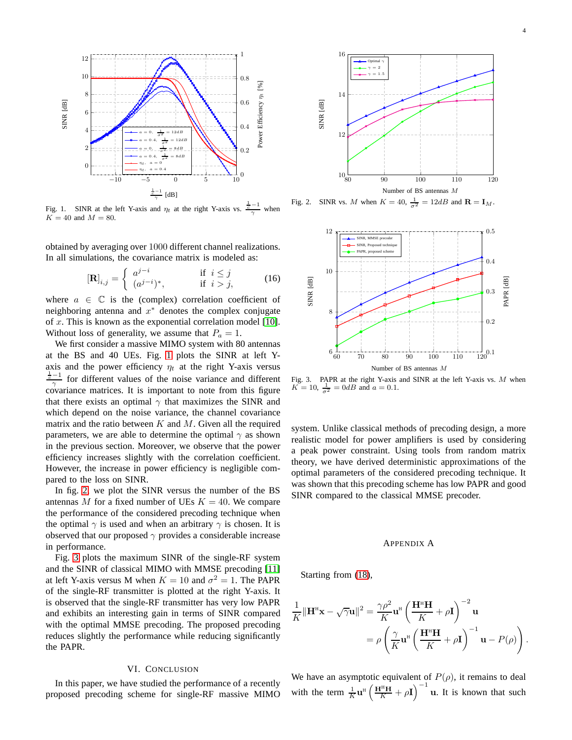

<span id="page-3-1"></span>Fig. 1. SINR at the left Y-axis and  $\eta_t$  at the right Y-axis vs.  $\frac{1}{\gamma}$  when  $K = 40$  and  $M = 80$ .

obtained by averaging over 1000 different channel realizations. In all simulations, the covariance matrix is modeled as:

$$
\left[\mathbf{R}\right]_{i,j} = \begin{cases} a^{j-i} & \text{if } i \leq j \\ (a^{j-i})^*, & \text{if } i > j, \end{cases}
$$
 (16)

where  $a \in \mathbb{C}$  is the (complex) correlation coefficient of neighboring antenna and  $x^*$  denotes the complex conjugate of  $x$ . This is known as the exponential correlation model [\[10\]](#page-5-4). Without loss of generality, we assume that  $P_a = 1$ .

We first consider a massive MIMO system with 80 antennas at the BS and 40 UEs. Fig. [1](#page-3-1) plots the SINR at left Yaxis and the power efficiency  $\eta_t$  at the right Y-axis versus  $\frac{1}{c}$  or different values of the noise variance and different covariance matrices. It is important to note from this figure that there exists an optimal  $\gamma$  that maximizes the SINR and which depend on the noise variance, the channel covariance matrix and the ratio between  $K$  and  $M$ . Given all the required parameters, we are able to determine the optimal  $\gamma$  as shown in the previous section. Moreover, we observe that the power efficiency increases slightly with the correlation coefficient. However, the increase in power efficiency is negligible compared to the loss on SINR.

In fig. [2,](#page-3-2) we plot the SINR versus the number of the BS antennas M for a fixed number of UEs  $K = 40$ . We compare the performance of the considered precoding technique when the optimal  $\gamma$  is used and when an arbitrary  $\gamma$  is chosen. It is observed that our proposed  $\gamma$  provides a considerable increase in performance.

Fig. [3](#page-3-3) plots the maximum SINR of the single-RF system and the SINR of classical MIMO with MMSE precoding [\[11\]](#page-5-5) at left Y-axis versus M when  $K = 10$  and  $\sigma^2 = 1$ . The PAPR of the single-RF transmitter is plotted at the right Y-axis. It is observed that the single-RF transmitter has very low PAPR and exhibits an interesting gain in terms of SINR compared with the optimal MMSE precoding. The proposed precoding reduces slightly the performance while reducing significantly the PAPR.

### VI. CONCLUSION

In this paper, we have studied the performance of a recently proposed precoding scheme for single-RF massive MIMO



Fig. 2. SINR vs. M when  $K = 40$ ,  $\frac{1}{\sigma^2} = 12dB$  and  $\mathbf{R} = \mathbf{I}_M$ .

<span id="page-3-2"></span>

<span id="page-3-3"></span>Fig. 3. PAPR at the right Y-axis and SINR at the left Y-axis vs. M when  $K = 10, \frac{1}{\sigma^2} = 0$ dB and  $a = 0.1$ .

system. Unlike classical methods of precoding design, a more realistic model for power amplifiers is used by considering a peak power constraint. Using tools from random matrix theory, we have derived deterministic approximations of the optimal parameters of the considered precoding technique. It was shown that this precoding scheme has low PAPR and good SINR compared to the classical MMSE precoder.

#### <span id="page-3-0"></span>APPENDIX A

Starting from [\(18\)](#page-4-6),

$$
\frac{1}{K} ||\mathbf{H}^{\mathrm{H}} \mathbf{x} - \sqrt{\gamma} \mathbf{u}||^{2} = \frac{\gamma \rho^{2}}{K} \mathbf{u}^{\mathrm{H}} \left( \frac{\mathbf{H}^{\mathrm{H}} \mathbf{H}}{K} + \rho \mathbf{I} \right)^{-2} \mathbf{u}
$$

$$
= \rho \left( \frac{\gamma}{K} \mathbf{u}^{\mathrm{H}} \left( \frac{\mathbf{H}^{\mathrm{H}} \mathbf{H}}{K} + \rho \mathbf{I} \right)^{-1} \mathbf{u} - P(\rho) \right).
$$

We have an asymptotic equivalent of  $P(\rho)$ , it remains to deal with the term  $\frac{1}{K} \mathbf{u}^{\text{H}} \left( \frac{\mathbf{H}^{\text{H}} \mathbf{H}}{K} + \rho \mathbf{I} \right)^{-1} \mathbf{u}$ . It is known that such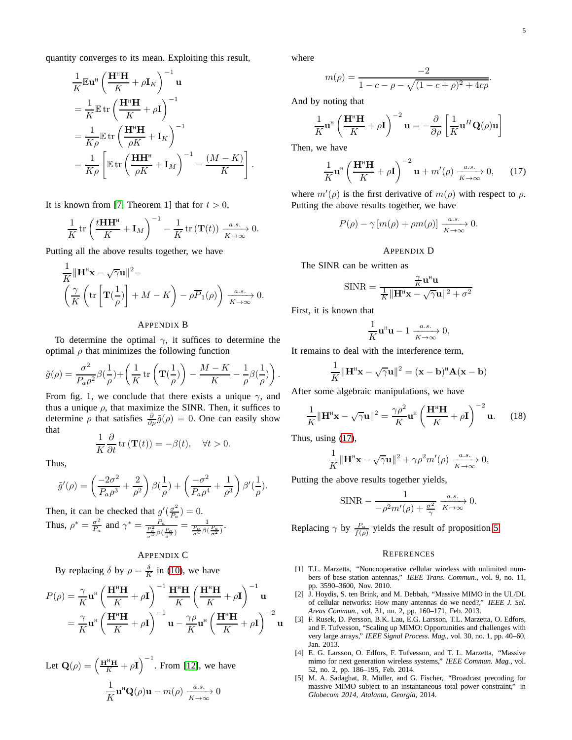.

quantity converges to its mean. Exploiting this result,

$$
\frac{1}{K} \mathbb{E} \mathbf{u}^{\text{H}} \left( \frac{\mathbf{H}^{\text{H}} \mathbf{H}}{K} + \rho \mathbf{I}_{K} \right)^{-1} \mathbf{u}
$$
\n
$$
= \frac{1}{K} \mathbb{E} \operatorname{tr} \left( \frac{\mathbf{H}^{\text{H}} \mathbf{H}}{K} + \rho \mathbf{I} \right)^{-1}
$$
\n
$$
= \frac{1}{K \rho} \mathbb{E} \operatorname{tr} \left( \frac{\mathbf{H}^{\text{H}} \mathbf{H}}{\rho K} + \mathbf{I}_{K} \right)^{-1}
$$
\n
$$
= \frac{1}{K \rho} \left[ \mathbb{E} \operatorname{tr} \left( \frac{\mathbf{H} \mathbf{H}^{\text{H}}}{\rho K} + \mathbf{I}_{M} \right)^{-1} - \frac{(M - K)}{K} \right].
$$

It is known from [\[7,](#page-5-1) Theorem 1] that for  $t > 0$ ,

$$
\frac{1}{K}\operatorname{tr}\left(\frac{t\mathbf{H}\mathbf{H}^{\mathrm{H}}}{K}+\mathbf{I}_{M}\right)^{-1}-\frac{1}{K}\operatorname{tr}\left(\mathbf{T}(t)\right)\xrightarrow[K\to\infty]{a.s.}0.
$$

Putting all the above results together, we have

$$
\frac{1}{K} \|\mathbf{H}^{\mathrm{H}}\mathbf{x} - \sqrt{\gamma} \mathbf{u}\|^2 - \left(\frac{\gamma}{K} \left( \mathrm{tr} \left[ \mathbf{T} \left( \frac{1}{\rho} \right) \right] + M - K \right) - \rho \overline{P}_1(\rho) \right) \xrightarrow[K \to \infty]{a.s.} 0.
$$

#### <span id="page-4-3"></span>APPENDIX B

To determine the optimal  $\gamma$ , it suffices to determine the optimal  $\rho$  that minimizes the following function

$$
\tilde{g}(\rho) = \frac{\sigma^2}{P_a \rho^2} \beta(\frac{1}{\rho}) + \left(\frac{1}{K} \operatorname{tr} \left(\mathbf{T}(\frac{1}{\rho})\right) - \frac{M - K}{K} - \frac{1}{\rho} \beta(\frac{1}{\rho})\right)
$$

From fig. 1, we conclude that there exists a unique  $\gamma$ , and thus a unique  $\rho$ , that maximize the SINR. Then, it suffices to determine  $\rho$  that satisfies  $\frac{\partial}{\partial \rho}\tilde{g}(\rho) = 0$ . One can easily show that

$$
\frac{1}{K}\frac{\partial}{\partial t}\operatorname{tr}\left(\mathbf{T}(t)\right)=-\beta(t),\quad\forall t>0.
$$

Thus,

$$
\tilde{g}'(\rho) = \left(\frac{-2\sigma^2}{P_a \rho^3} + \frac{2}{\rho^2}\right) \beta(\frac{1}{\rho}) + \left(\frac{-\sigma^2}{P_a \rho^4} + \frac{1}{\rho^3}\right) \beta'(\frac{1}{\rho}).
$$

Then, it can be checked that  $g'(\frac{\sigma^2}{P})$  $\frac{\sigma^2}{P_a}$ ) = 0. Thus,  $\rho^* = \frac{\sigma^2}{P}$  $\frac{\sigma^2}{P_a}$  and  $\gamma^* = \frac{P_a}{\frac{P_a^2}{\sigma^4} \beta(\frac{P_a}{\sigma^2})} = \frac{1}{\frac{P_a}{\sigma^4} \beta(\frac{P_a}{\sigma^2})}$ .

## <span id="page-4-4"></span>APPENDIX C

By replacing  $\delta$  by  $\rho = \frac{\delta}{K}$  in [\(10\)](#page-2-2), we have

$$
P(\rho) = \frac{\gamma}{K} \mathbf{u}^{\mathrm{H}} \left( \frac{\mathbf{H}^{\mathrm{H}} \mathbf{H}}{K} + \rho \mathbf{I} \right)^{-1} \frac{\mathbf{H}^{\mathrm{H}} \mathbf{H}}{K} \left( \frac{\mathbf{H}^{\mathrm{H}} \mathbf{H}}{K} + \rho \mathbf{I} \right)^{-1} \mathbf{u}
$$

$$
= \frac{\gamma}{K} \mathbf{u}^{\mathrm{H}} \left( \frac{\mathbf{H}^{\mathrm{H}} \mathbf{H}}{K} + \rho \mathbf{I} \right)^{-1} \mathbf{u} - \frac{\gamma \rho}{K} \mathbf{u}^{\mathrm{H}} \left( \frac{\mathbf{H}^{\mathrm{H}} \mathbf{H}}{K} + \rho \mathbf{I} \right)^{-2} \mathbf{u}
$$

Let  $\mathbf{Q}(\rho) = \left(\frac{\mathbf{H}^{\text{H}}\mathbf{H}}{K} + \rho \mathbf{I}\right)^{-1}$ . From [\[12\]](#page-5-6), we have 1  $\frac{1}{K} \mathbf{u}^{\text{H}} \mathbf{Q}(\rho) \mathbf{u} - m(\rho) \xrightarrow[K \to \infty]{a.s.} 0$ 

where

$$
m(\rho) = \frac{-2}{1 - c - \rho - \sqrt{(1 - c + \rho)^2 + 4c\rho}}
$$

And by noting that

$$
\frac{1}{K}\mathbf{u}^{H}\left(\frac{\mathbf{H}^{H}\mathbf{H}}{K}+\rho\mathbf{I}\right)^{-2}\mathbf{u}=-\frac{\partial}{\partial\rho}\left[\frac{1}{K}\mathbf{u}^{H}\mathbf{Q}(\rho)\mathbf{u}\right]
$$

Then, we have

<span id="page-4-7"></span>
$$
\frac{1}{K}\mathbf{u}^{\mathrm{H}}\left(\frac{\mathbf{H}^{\mathrm{H}}\mathbf{H}}{K}+\rho\mathbf{I}\right)^{-2}\mathbf{u}+m'(\rho)\xrightarrow[K\to\infty]{a.s.}0,\qquad(17)
$$

where  $m'(\rho)$  is the first derivative of  $m(\rho)$  with respect to  $\rho$ . Putting the above results together, we have

$$
P(\rho) - \gamma [m(\rho) + \rho m(\rho)] \xrightarrow[K \to \infty]{a.s.} 0.
$$

#### <span id="page-4-5"></span>APPENDIX D

The SINR can be written as

$$
\text{SINR} = \frac{\frac{\gamma}{K} \mathbf{u}^{\text{H}} \mathbf{u}}{\frac{1}{K} \|\mathbf{H}^{\text{H}} \mathbf{x} - \sqrt{\gamma} \mathbf{u}\|^2 + \sigma^2}
$$

First, it is known that

$$
\frac{1}{K}\mathbf{u}^{\mathrm{H}}\mathbf{u} - 1 \xrightarrow[K \to \infty]{a.s.} 0,
$$

It remains to deal with the interference term,

$$
\frac{1}{K} \|\mathbf{H}^{\mathrm{H}}\mathbf{x} - \sqrt{\gamma} \mathbf{u}\|^2 = (\mathbf{x} - \mathbf{b})^{\mathrm{H}} \mathbf{A} (\mathbf{x} - \mathbf{b})
$$

After some algebraic manipulations, we have

<span id="page-4-6"></span>
$$
\frac{1}{K} \|\mathbf{H}^{\mathrm{H}}\mathbf{x} - \sqrt{\gamma} \mathbf{u}\|^{2} = \frac{\gamma \rho^{2}}{K} \mathbf{u}^{\mathrm{H}} \left(\frac{\mathbf{H}^{\mathrm{H}} \mathbf{H}}{K} + \rho \mathbf{I}\right)^{-2} \mathbf{u}.
$$
 (18)

Thus, using [\(17\)](#page-4-7),

.

$$
\frac{1}{K} \|\mathbf{H}^{H}\mathbf{x} - \sqrt{\gamma}\mathbf{u}\|^{2} + \gamma \rho^{2} m'(\rho) \xrightarrow[K \to \infty]{a.s.} 0,
$$

Putting the above results together yields,

$$
\text{SINR} - \frac{1}{-\rho^2 m'(\rho) + \frac{\sigma^2}{\gamma}} \xrightarrow[K \to \infty]{a.s.} 0.
$$

Replacing  $\gamma$  by  $\frac{P_a}{f(\rho)}$  yields the result of proposition [5.](#page-2-3)

#### **REFERENCES**

- <span id="page-4-0"></span>[1] T.L. Marzetta, "Noncooperative cellular wireless with unlimited numbers of base station antennas," *IEEE Trans. Commun.*, vol. 9, no. 11, pp. 3590–3600, Nov. 2010.
- [2] J. Hoydis, S. ten Brink, and M. Debbah, "Massive MIMO in the UL/DL of cellular networks: How many antennas do we need?," *IEEE J. Sel. Areas Commun.*, vol. 31, no. 2, pp. 160–171, Feb. 2013.
- [3] F. Rusek, D. Persson, B.K. Lau, E.G. Larsson, T.L. Marzetta, O. Edfors, and F. Tufvesson, "Scaling up MIMO: Opportunities and challenges with very large arrays," *IEEE Signal Process. Mag.*, vol. 30, no. 1, pp. 40–60, Jan. 2013.
- <span id="page-4-1"></span>[4] E. G. Larsson, O. Edfors, F. Tufvesson, and T. L. Marzetta, "Massive mimo for next generation wireless systems," *IEEE Commun. Mag.*, vol. 52, no. 2, pp. 186–195, Feb. 2014.
- <span id="page-4-2"></span>[5] M. A. Sadaghat, R. Müller, and G. Fischer, "Broadcast precoding for massive MIMO subject to an instantaneous total power constraint," in *Globecom 2014, Atalanta, Georgia*, 2014.